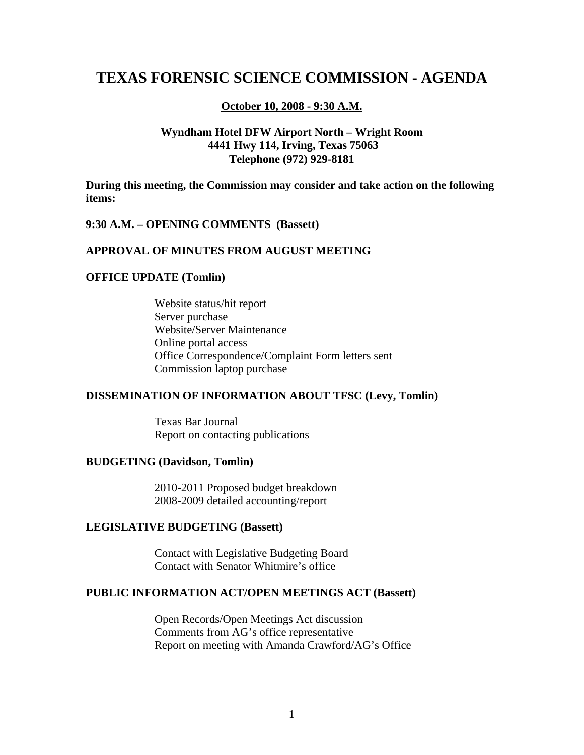# **TEXAS FORENSIC SCIENCE COMMISSION - AGENDA**

#### **October 10, 2008 - 9:30 A.M.**

### **Wyndham Hotel DFW Airport North – Wright Room 4441 Hwy 114, Irving, Texas 75063 Telephone (972) 929-8181**

**During this meeting, the Commission may consider and take action on the following items:** 

#### **9:30 A.M. – OPENING COMMENTS (Bassett)**

#### **APPROVAL OF MINUTES FROM AUGUST MEETING**

#### **OFFICE UPDATE (Tomlin)**

Website status/hit report Server purchase Website/Server Maintenance Online portal access Office Correspondence/Complaint Form letters sent Commission laptop purchase

#### **DISSEMINATION OF INFORMATION ABOUT TFSC (Levy, Tomlin)**

 Texas Bar Journal Report on contacting publications

#### **BUDGETING (Davidson, Tomlin)**

2010-2011 Proposed budget breakdown 2008-2009 detailed accounting/report

#### **LEGISLATIVE BUDGETING (Bassett)**

Contact with Legislative Budgeting Board Contact with Senator Whitmire's office

#### **PUBLIC INFORMATION ACT/OPEN MEETINGS ACT (Bassett)**

 Open Records/Open Meetings Act discussion Comments from AG's office representative Report on meeting with Amanda Crawford/AG's Office